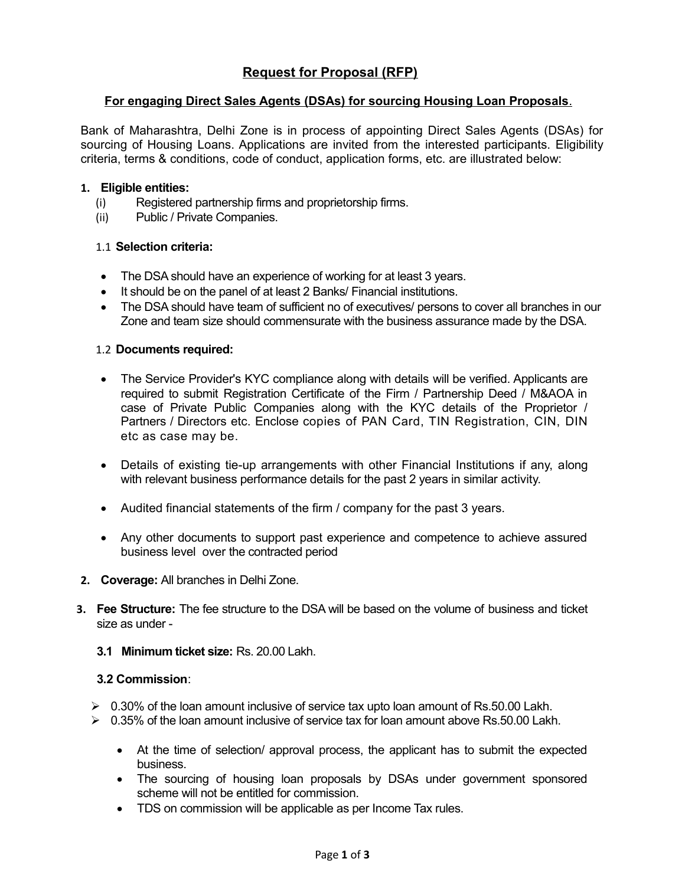# **Request for Proposal (RFP)**

### **For engaging Direct Sales Agents (DSAs) for sourcing Housing Loan Proposals**.

Bank of Maharashtra, Delhi Zone is in process of appointing Direct Sales Agents (DSAs) for sourcing of Housing Loans. Applications are invited from the interested participants. Eligibility criteria, terms & conditions, code of conduct, application forms, etc. are illustrated below:

#### **1. Eligible entities:**

- (i) Registered partnership firms and proprietorship firms.
- (ii) Public / Private Companies.

#### 1.1 **Selection criteria:**

- The DSA should have an experience of working for at least 3 years.
- It should be on the panel of at least 2 Banks/ Financial institutions.
- The DSA should have team of sufficient no of executives/ persons to cover all branches in our Zone and team size should commensurate with the business assurance made by the DSA.

#### 1.2 **Documents required:**

- The Service Provider's KYC compliance along with details will be verified. Applicants are required to submit Registration Certificate of the Firm / Partnership Deed / M&AOA in case of Private Public Companies along with the KYC details of the Proprietor / Partners / Directors etc. Enclose copies of PAN Card, TIN Registration, CIN, DIN etc as case may be.
- Details of existing tie-up arrangements with other Financial Institutions if any, along with relevant business performance details for the past 2 years in similar activity.
- Audited financial statements of the firm / company for the past 3 years.
- Any other documents to support past experience and competence to achieve assured business level over the contracted period
- **2. Coverage:** All branches in Delhi Zone.
- **3. Fee Structure:** The fee structure to the DSA will be based on the volume of business and ticket size as under -
	- **3.1 Minimum ticket size:** Rs. 20.00 Lakh.

#### **3.2 Commission**:

- $\geq 0.30\%$  of the loan amount inclusive of service tax upto loan amount of Rs.50.00 Lakh.
- $> 0.35\%$  of the loan amount inclusive of service tax for loan amount above Rs.50.00 Lakh.
	- At the time of selection/ approval process, the applicant has to submit the expected business.
	- The sourcing of housing loan proposals by DSAs under government sponsored scheme will not be entitled for commission.
	- TDS on commission will be applicable as per Income Tax rules.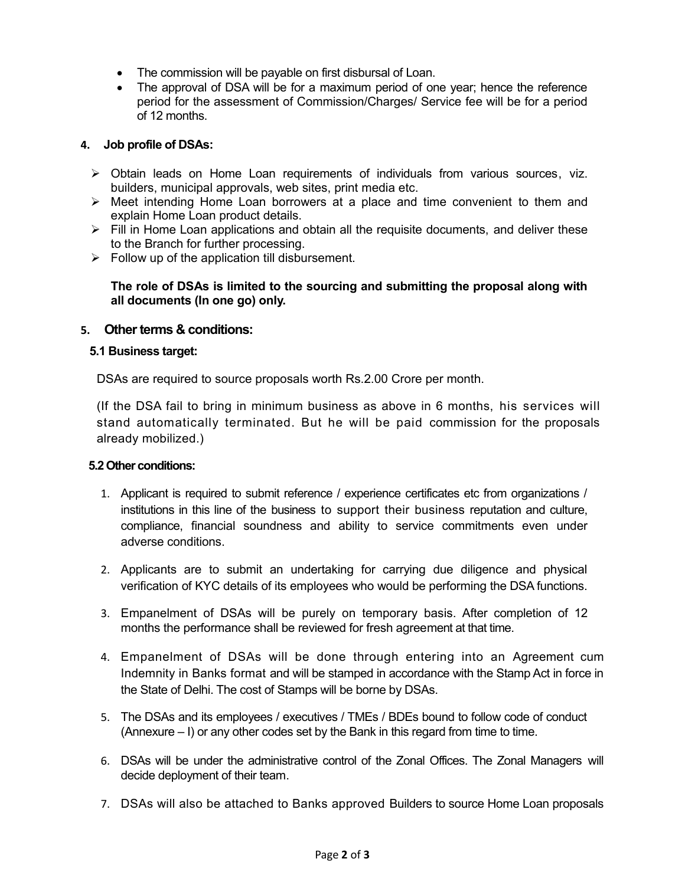- The commission will be payable on first disbursal of Loan.
- The approval of DSA will be for a maximum period of one year; hence the reference period for the assessment of Commission/Charges/ Service fee will be for a period of 12 months.

#### **4. Job profile of DSAs:**

- $\triangleright$  Obtain leads on Home Loan requirements of individuals from various sources, viz. builders, municipal approvals, web sites, print media etc.
- $\triangleright$  Meet intending Home Loan borrowers at a place and time convenient to them and explain Home Loan product details.
- $\triangleright$  Fill in Home Loan applications and obtain all the requisite documents, and deliver these to the Branch for further processing.
- $\triangleright$  Follow up of the application till disbursement.

### **The role of DSAs is limited to the sourcing and submitting the proposal along with all documents (In one go) only.**

## **5. Other terms & conditions:**

#### **5.1 Business target:**

DSAs are required to source proposals worth Rs.2.00 Crore per month.

(If the DSA fail to bring in minimum business as above in 6 months, his services will stand automatically terminated. But he will be paid commission for the proposals already mobilized.)

#### **5.2 Other conditions:**

- 1. Applicant is required to submit reference / experience certificates etc from organizations / institutions in this line of the business to support their business reputation and culture, compliance, financial soundness and ability to service commitments even under adverse conditions.
- 2. Applicants are to submit an undertaking for carrying due diligence and physical verification of KYC details of its employees who would be performing the DSA functions.
- 3. Empanelment of DSAs will be purely on temporary basis. After completion of 12 months the performance shall be reviewed for fresh agreement at that time.
- 4. Empanelment of DSAs will be done through entering into an Agreement cum Indemnity in Banks format and will be stamped in accordance with the Stamp Act in force in the State of Delhi. The cost of Stamps will be borne by DSAs.
- 5. The DSAs and its employees / executives / TMEs / BDEs bound to follow code of conduct (Annexure – I) or any other codes set by the Bank in this regard from time to time.
- 6. DSAs will be under the administrative control of the Zonal Offices. The Zonal Managers will decide deployment of their team.
- 7. DSAs will also be attached to Banks approved Builders to source Home Loan proposals